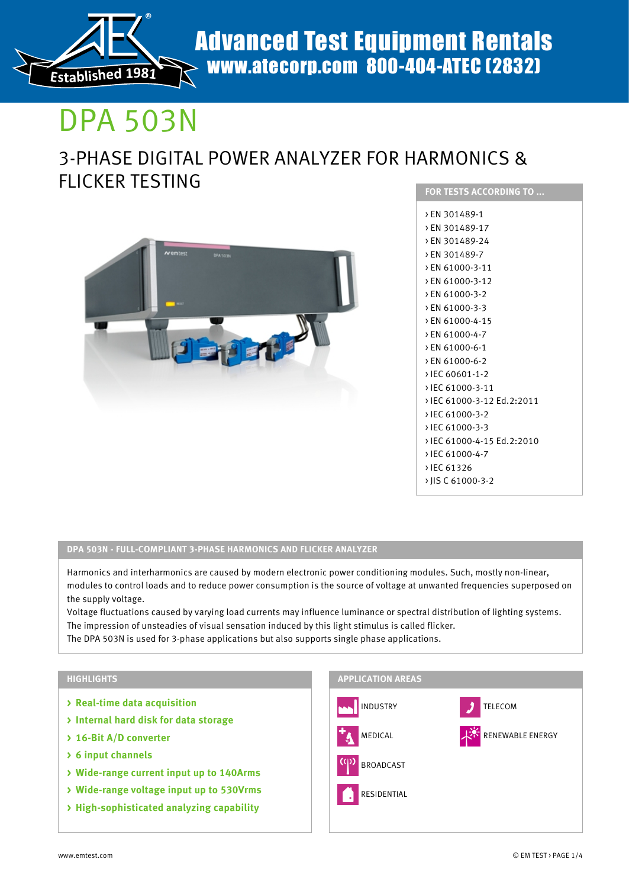

# DPA 503N

# 3-PHASE DIGITAL POWER ANALYZER FOR HARMONICS & FLICKER TESTING



| <b>FOR TESTS ACCORDING TO </b> |
|--------------------------------|
| > EN 301489-1                  |
| > EN 301489-17                 |
| > EN 301489-24                 |
| > EN 301489-7                  |
| > EN 61000-3-11                |
| > EN 61000-3-12                |
| > EN 61000-3-2                 |
| > EN 61000-3-3                 |
| > EN 61000-4-15                |
| > EN 61000-4-7                 |
| > EN 61000-6-1                 |
| > EN 61000-6-2                 |
| > IEC 60601-1-2                |
| > IEC 61000-3-11               |
| > IEC 61000-3-12 Ed.2:2011     |
| > IEC 61000-3-2                |
| > IEC 61000-3-3                |
| > IEC 61000-4-15 Ed.2:2010     |
| > IEC 61000-4-7                |
| > IEC 61326                    |
| > IIS C 61000-3-2              |
|                                |

# **DPA 503N - FULL-COMPLIANT 3-PHASE HARMONICS AND FLICKER ANALYZER**

Harmonics and interharmonics are caused by modern electronic power conditioning modules. Such, mostly non-linear, modules to control loads and to reduce power consumption is the source of voltage at unwanted frequencies superposed on the supply voltage.

Voltage fluctuations caused by varying load currents may influence luminance or spectral distribution of lighting systems. The impression of unsteadies of visual sensation induced by this light stimulus is called flicker.

The DPA 503N is used for 3-phase applications but also supports single phase applications.

## **HIGHLIGHTS**

- **> Real-time data acquisition**
- **> Internal hard disk for data storage**
- **> 16-Bit A/D converter**
- **> 6 input channels**
- **> Wide-range current input up to 140Arms**
- **> Wide-range voltage input up to 530Vrms**
- **> High-sophisticated analyzing capability**

### **APPLICATION AREAS**

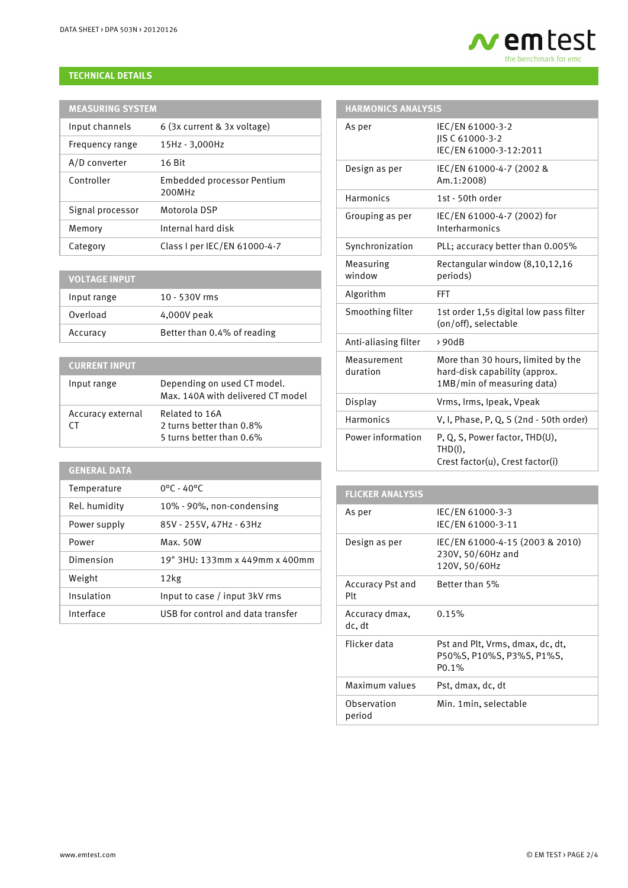# **TECHNICAL DETAILS**

| <b>MEASURING SYSTEM</b> |                                      |  |
|-------------------------|--------------------------------------|--|
| Input channels          | 6 (3x current & 3x voltage)          |  |
| Frequency range         | 15Hz - 3,000Hz                       |  |
| A/D converter           | 16 Bit                               |  |
| Controller              | Embedded processor Pentium<br>200MHz |  |
| Signal processor        | Motorola DSP                         |  |
| Memory                  | Internal hard disk                   |  |
| Category                | Class I per IEC/EN 61000-4-7         |  |

| <b>VOLTAGE INPUT</b> |                             |
|----------------------|-----------------------------|
| Input range          | $10 - 530V$ rms             |
| Overload             | 4,000V peak                 |
| Accuracy             | Better than 0.4% of reading |

# **CURRENT INPUT**

| Input range             | Depending on used CT model.<br>Max. 140A with delivered CT model       |
|-------------------------|------------------------------------------------------------------------|
| Accuracy external<br>CΤ | Related to 16A<br>2 turns better than 0.8%<br>5 turns better than 0.6% |

# **GENERAL DATA**

| Temperature   | $0^{\circ}$ C - 40 $^{\circ}$ C   |
|---------------|-----------------------------------|
| Rel. humidity | 10% - 90%, non-condensing         |
| Power supply  | 85V - 255V, 47Hz - 63Hz           |
| Power         | Max. 50W                          |
| Dimension     | 19" 3HU: 133mm x 449mm x 400mm    |
| Weight        | 12kg                              |
| Insulation    | Input to case / input 3kV rms     |
| Interface     | USB for control and data transfer |



# **HARMONICS ANALYSIS**

| As per                  | IEC/EN 61000-3-2<br>JIS C 61000-3-2<br>IEC/EN 61000-3-12:2011                                     |
|-------------------------|---------------------------------------------------------------------------------------------------|
| Design as per           | IEC/EN 61000-4-7 (2002 &<br>Am.1:2008)                                                            |
| Harmonics               | 1st - 50th order                                                                                  |
| Grouping as per         | IEC/EN 61000-4-7 (2002) for<br>Interharmonics                                                     |
| Synchronization         | PLL; accuracy better than 0.005%                                                                  |
| Measuring<br>window     | Rectangular window (8,10,12,16<br>periods)                                                        |
| Algorithm               | <b>FFT</b>                                                                                        |
| Smoothing filter        | 1st order 1,5s digital low pass filter<br>(on/off), selectable                                    |
| Anti-aliasing filter    | >90dB                                                                                             |
| Measurement<br>duration | More than 30 hours, limited by the<br>hard-disk capability (approx.<br>1MB/min of measuring data) |
| Display                 | Vrms, Irms, Ipeak, Vpeak                                                                          |
| Harmonics               | V. I. Phase, P. Q. S (2nd - 50th order)                                                           |
| Power information       | P, Q, S, Power factor, THD(U),<br>$THD(I)$ ,<br>Crest factor(u), Crest factor(i)                  |

| <b>FLICKER ANALYSIS</b>        |                                                                        |
|--------------------------------|------------------------------------------------------------------------|
| As per                         | IEC/EN 61000-3-3<br>IEC/EN 61000-3-11                                  |
| Design as per                  | IEC/EN 61000-4-15 (2003 & 2010)<br>230V, 50/60Hz and<br>120V, 50/60Hz  |
| <b>Accuracy Pst and</b><br>Plt | Better than 5%                                                         |
| Accuracy dmax,<br>dc. dt       | 0.15%                                                                  |
| Flicker data                   | Pst and Plt. Vrms. dmax. dc. dt.<br>P50%S, P10%S, P3%S, P1%S,<br>P0.1% |
| Maximum values                 | Pst, dmax, dc, dt                                                      |
| Observation<br>period          | Min. 1 min. selectable                                                 |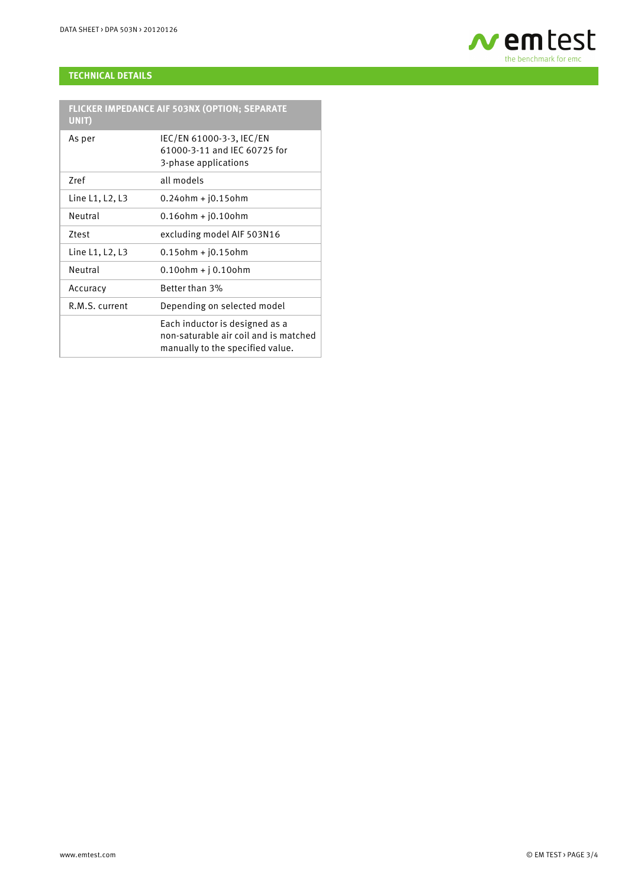

# **TECHNICAL DETAILS**

| FLICKER IMPEDANCE AIF 503NX (OPTION; SEPARATE<br>UNIT) |                                                                                                             |
|--------------------------------------------------------|-------------------------------------------------------------------------------------------------------------|
| As per                                                 | IEC/EN 61000-3-3, IEC/EN<br>61000-3-11 and IEC 60725 for<br>3-phase applications                            |
| Zref                                                   | all models                                                                                                  |
| Line L1, L2, L3                                        | $0.24$ ohm + $j0.15$ ohm                                                                                    |
| Neutral                                                | $0.16$ ohm + $j0.10$ ohm                                                                                    |
| Ztest                                                  | excluding model AIF 503N16                                                                                  |
| Line L1, L2, L3                                        | $0.15$ ohm + $j0.15$ ohm                                                                                    |
| Neutral                                                | $0.10$ ohm + j $0.10$ ohm                                                                                   |
| Accuracy                                               | Better than 3%                                                                                              |
| R.M.S. current                                         | Depending on selected model                                                                                 |
|                                                        | Each inductor is designed as a<br>non-saturable air coil and is matched<br>manually to the specified value. |